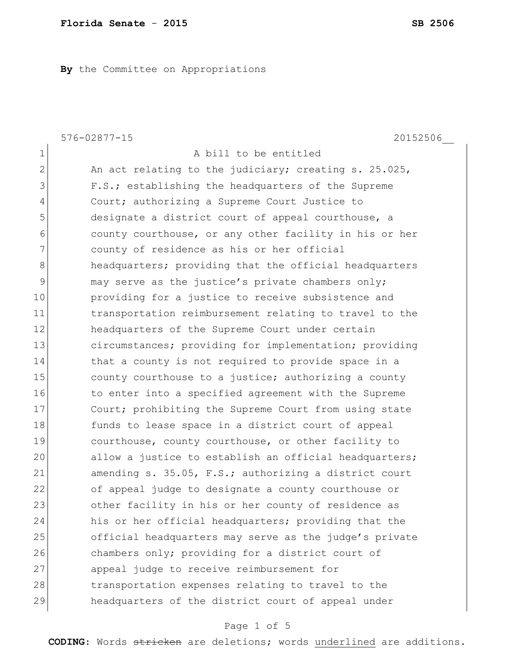**By** the Committee on Appropriations

|                | $576 - 02877 - 15$<br>20152506                         |
|----------------|--------------------------------------------------------|
| $\mathbf 1$    | A bill to be entitled                                  |
| $\overline{2}$ | An act relating to the judiciary; creating s. 25.025,  |
| 3              | F.S.; establishing the headquarters of the Supreme     |
| 4              | Court; authorizing a Supreme Court Justice to          |
| 5              | designate a district court of appeal courthouse, a     |
| 6              | county courthouse, or any other facility in his or her |
| 7              | county of residence as his or her official             |
| 8              | headquarters; providing that the official headquarters |
| $\mathsf{S}$   | may serve as the justice's private chambers only;      |
| 10             | providing for a justice to receive subsistence and     |
| 11             | transportation reimbursement relating to travel to the |
| 12             | headquarters of the Supreme Court under certain        |
| 13             | circumstances; providing for implementation; providing |
| 14             | that a county is not required to provide space in a    |
| 15             | county courthouse to a justice; authorizing a county   |
| 16             | to enter into a specified agreement with the Supreme   |
| 17             | Court; prohibiting the Supreme Court from using state  |
| 18             | funds to lease space in a district court of appeal     |
| 19             | courthouse, county courthouse, or other facility to    |
| 20             | allow a justice to establish an official headquarters; |
| 21             | amending s. 35.05, F.S.; authorizing a district court  |
| 22             | of appeal judge to designate a county courthouse or    |
| 23             | other facility in his or her county of residence as    |
| 24             | his or her official headquarters; providing that the   |
| 25             | official headquarters may serve as the judge's private |
| 26             | chambers only; providing for a district court of       |
| 27             | appeal judge to receive reimbursement for              |
| 28             | transportation expenses relating to travel to the      |
| 29             | headquarters of the district court of appeal under     |

# Page 1 of 5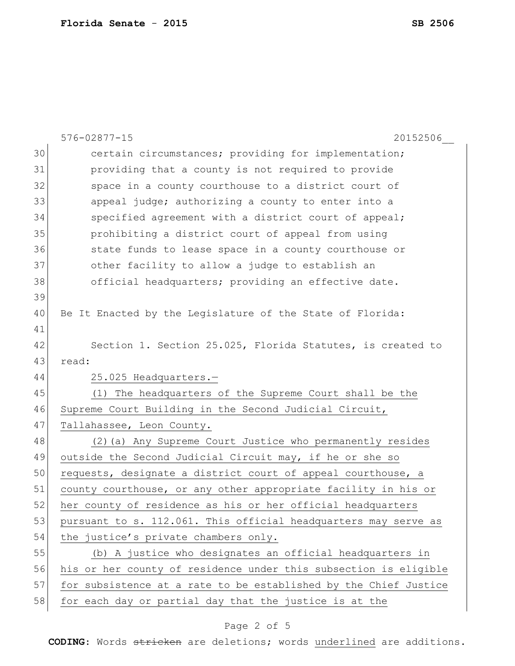|    | $576 - 02877 - 15$<br>20152506                                   |
|----|------------------------------------------------------------------|
| 30 | certain circumstances; providing for implementation;             |
| 31 | providing that a county is not required to provide               |
| 32 | space in a county courthouse to a district court of              |
| 33 | appeal judge; authorizing a county to enter into a               |
| 34 | specified agreement with a district court of appeal;             |
| 35 | prohibiting a district court of appeal from using                |
| 36 | state funds to lease space in a county courthouse or             |
| 37 | other facility to allow a judge to establish an                  |
| 38 | official headquarters; providing an effective date.              |
| 39 |                                                                  |
| 40 | Be It Enacted by the Legislature of the State of Florida:        |
| 41 |                                                                  |
| 42 | Section 1. Section 25.025, Florida Statutes, is created to       |
| 43 | read:                                                            |
| 44 | 25.025 Headquarters.-                                            |
| 45 | (1) The headquarters of the Supreme Court shall be the           |
| 46 | Supreme Court Building in the Second Judicial Circuit,           |
| 47 | Tallahassee, Leon County.                                        |
| 48 | (2) (a) Any Supreme Court Justice who permanently resides        |
| 49 | outside the Second Judicial Circuit may, if he or she so         |
| 50 | requests, designate a district court of appeal courthouse, a     |
| 51 | county courthouse, or any other appropriate facility in his or   |
| 52 | her county of residence as his or her official headquarters      |
| 53 | pursuant to s. 112.061. This official headquarters may serve as  |
| 54 | the justice's private chambers only.                             |
| 55 | (b) A justice who designates an official headquarters in         |
| 56 | his or her county of residence under this subsection is eligible |
| 57 | for subsistence at a rate to be established by the Chief Justice |
| 58 | for each day or partial day that the justice is at the           |

# Page 2 of 5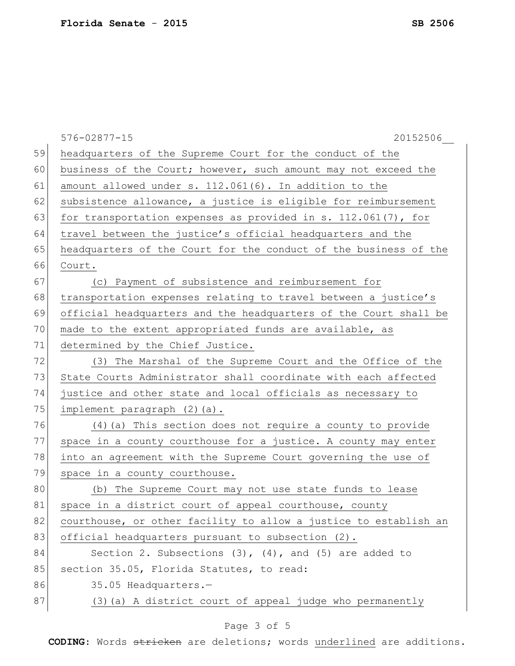|    | 576-02877-15<br>20152506                                         |
|----|------------------------------------------------------------------|
| 59 | headquarters of the Supreme Court for the conduct of the         |
| 60 | business of the Court; however, such amount may not exceed the   |
| 61 | amount allowed under s. 112.061(6). In addition to the           |
| 62 | subsistence allowance, a justice is eligible for reimbursement   |
| 63 | for transportation expenses as provided in s. $112.061(7)$ , for |
| 64 | travel between the justice's official headquarters and the       |
| 65 | headquarters of the Court for the conduct of the business of the |
| 66 | Court.                                                           |
| 67 | (c) Payment of subsistence and reimbursement for                 |
| 68 | transportation expenses relating to travel between a justice's   |
| 69 | official headquarters and the headquarters of the Court shall be |
| 70 | made to the extent appropriated funds are available, as          |
| 71 | determined by the Chief Justice.                                 |
| 72 | (3) The Marshal of the Supreme Court and the Office of the       |
| 73 | State Courts Administrator shall coordinate with each affected   |
| 74 | justice and other state and local officials as necessary to      |
| 75 | implement paragraph (2)(a).                                      |
| 76 | (4) (a) This section does not require a county to provide        |
| 77 | space in a county courthouse for a justice. A county may enter   |
| 78 | into an agreement with the Supreme Court governing the use of    |
| 79 | space in a county courthouse.                                    |
| 80 | (b) The Supreme Court may not use state funds to lease           |
| 81 | space in a district court of appeal courthouse, county           |
| 82 | courthouse, or other facility to allow a justice to establish an |
| 83 | official headquarters pursuant to subsection (2).                |
| 84 | Section 2. Subsections $(3)$ , $(4)$ , and $(5)$ are added to    |
| 85 | section 35.05, Florida Statutes, to read:                        |
| 86 | 35.05 Headquarters.-                                             |
| 87 | (3) (a) A district court of appeal judge who permanently         |
|    |                                                                  |

# Page 3 of 5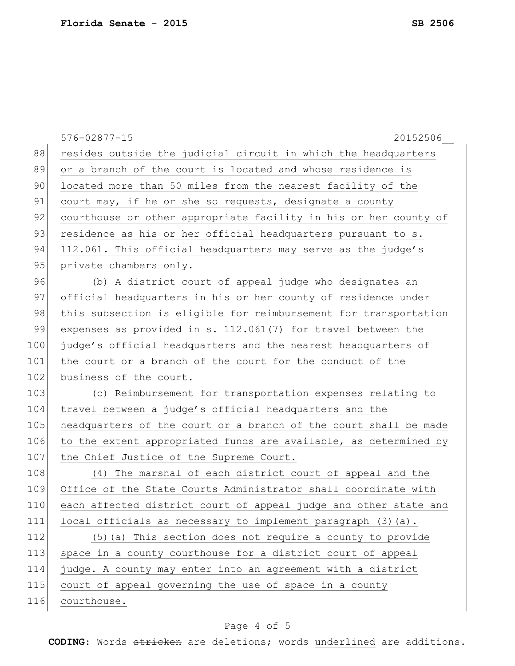|     | $576 - 02877 - 15$<br>20152506                                   |
|-----|------------------------------------------------------------------|
| 88  | resides outside the judicial circuit in which the headquarters   |
| 89  | or a branch of the court is located and whose residence is       |
| 90  | located more than 50 miles from the nearest facility of the      |
| 91  | court may, if he or she so requests, designate a county          |
| 92  | courthouse or other appropriate facility in his or her county of |
| 93  | residence as his or her official headquarters pursuant to s.     |
| 94  | 112.061. This official headquarters may serve as the judge's     |
| 95  | private chambers only.                                           |
| 96  | (b) A district court of appeal judge who designates an           |
| 97  | official headquarters in his or her county of residence under    |
| 98  | this subsection is eligible for reimbursement for transportation |
| 99  | expenses as provided in s. 112.061(7) for travel between the     |
| 100 | judge's official headquarters and the nearest headquarters of    |
| 101 | the court or a branch of the court for the conduct of the        |
| 102 | business of the court.                                           |
| 103 | (c) Reimbursement for transportation expenses relating to        |
| 104 | travel between a judge's official headquarters and the           |
| 105 | headquarters of the court or a branch of the court shall be made |
| 106 | to the extent appropriated funds are available, as determined by |
| 107 | the Chief Justice of the Supreme Court.                          |
| 108 | (4) The marshal of each district court of appeal and the         |
| 109 | Office of the State Courts Administrator shall coordinate with   |
| 110 | each affected district court of appeal judge and other state and |
| 111 | local officials as necessary to implement paragraph (3) (a).     |
| 112 | (5) (a) This section does not require a county to provide        |
| 113 | space in a county courthouse for a district court of appeal      |
| 114 | judge. A county may enter into an agreement with a district      |
| 115 | court of appeal governing the use of space in a county           |
| 116 | courthouse.                                                      |
|     |                                                                  |

# Page 4 of 5